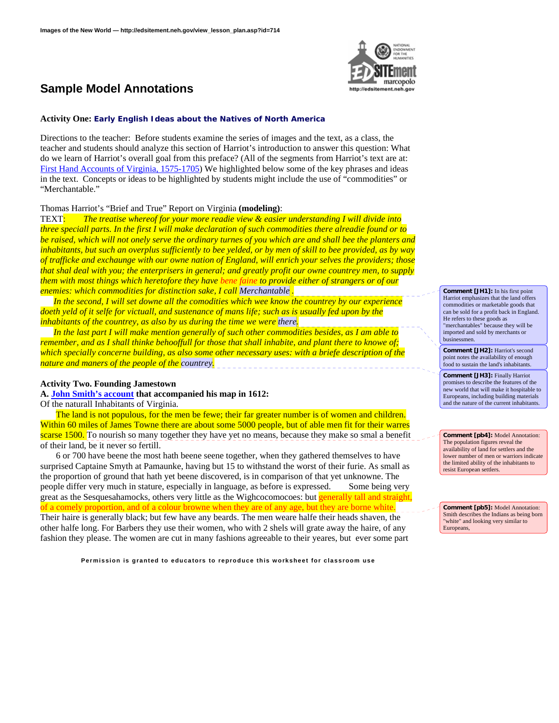

## **Activity One: Early English Ideas about the Natives of North America**

Directions to the teacher: Before students examine the series of images and the text, as a class, the teacher and students should analyze this section of Harriot's introduction to answer this question: What do we learn of Harriot's overall goal from this preface? (All of the segments from Harriot's text are at: [First Hand Accounts of Virginia, 1575-1705](http://etext.lib.virginia.edu/etcbin/jamestown-browse?id=J1009)) We highlighted below some of the key phrases and ideas in the text. Concepts or ideas to be highlighted by students might include the use of "commodities" or "Merchantable."

### Thomas Harriot's "Brief and True" Report on Virginia **(modeling)**:

TEXT: *The treatise whereof for your more readie view & easier understanding I will divide into three speciall parts. In the first I will make declaration of such commodities there alreadie found or to be raised, which will not onely serve the ordinary turnes of you which are and shall bee the planters and inhabitants, but such an overplus sufficiently to bee yelded, or by men of skill to bee provided, as by way of trafficke and exchaunge with our owne nation of England, will enrich your selves the providers; those that shal deal with you; the enterprisers in general; and greatly profit our owne countrey men, to supply them with most things which heretofore they have bene faine to provide either of strangers or of our enemies: which commodities for distinction sake, I call Merchantable .* 

 *In the second, I will set downe all the comodities which wee know the countrey by our experience doeth yeld of it selfe for victuall, and sustenance of mans life; such as is usually fed upon by the inhabitants of the countrey, as also by us during the time we were there.* 

 *In the last part I will make mention generally of such other commodities besides, as I am able to remember, and as I shall thinke behooffull for those that shall inhabite, and plant there to knowe of; which specially concerne building, as also some other necessary uses: with a briefe description of the nature and maners of the people of the countrey.* 

### **Activity Two. Founding Jamestown**

**A. [John Smith's account](http://etext.lib.virginia.edu/etcbin/jamestown-browse?id=J1008) that accompanied his map in 1612:** 

Of the naturall Inhabitants of Virginia.

 The land is not populous, for the men be fewe; their far greater number is of women and children. Within 60 miles of James Towne there are about some 5000 people, but of able men fit for their warres scarse 1500. To nourish so many together they have yet no means, because they make so smal a benefit of their land, be it never so fertill.

 6 or 700 have beene the most hath beene seene together, when they gathered themselves to have surprised Captaine Smyth at Pamaunke, having but 15 to withstand the worst of their furie. As small as the proportion of ground that hath yet beene discovered, is in comparison of that yet unknowne. The people differ very much in stature, especially in language, as before is expressed. Some being very great as the Sesquesahamocks, others very little as the Wighcocomocoes: but generally tall and straight, of a comely proportion, and of a colour browne when they are of any age, but they are borne white. Their haire is generally black; but few have any beards. The men weare halfe their heads shaven, the other halfe long. For Barbers they use their women, who with 2 shels will grate away the haire, of any fashion they please. The women are cut in many fashions agreeable to their yeares, but ever some part

**Permission is granted to educators to reproduce this worksheet for classroom use**



**Comment [JH1]:** In his first point Harriot emphasizes that the land offers commodities or marketable goods that can be sold for a profit back in England. He refers to these goods as "merchantables" because they will be imported and sold by merchants or businessmen.

**Comment [JH2]:** Harriot's second point notes the availability of enough food to sustain the land's inhabitants.

**Comment [JH3]:** Finally Harriot promises to describe the features of the new world that will make it hospitable to Europeans, including building materials and the nature of the current inhabitants.

**Comment [pb4]:** Model Annotation: The population figures reveal the availability of land for settlers and the lower number of men or warriors indicate the limited ability of the inhabitants to resist European settlers.

**Comment [pb5]:** Model Annotation: Smith describes the Indians as being born "white" and looking very similar to Europeans,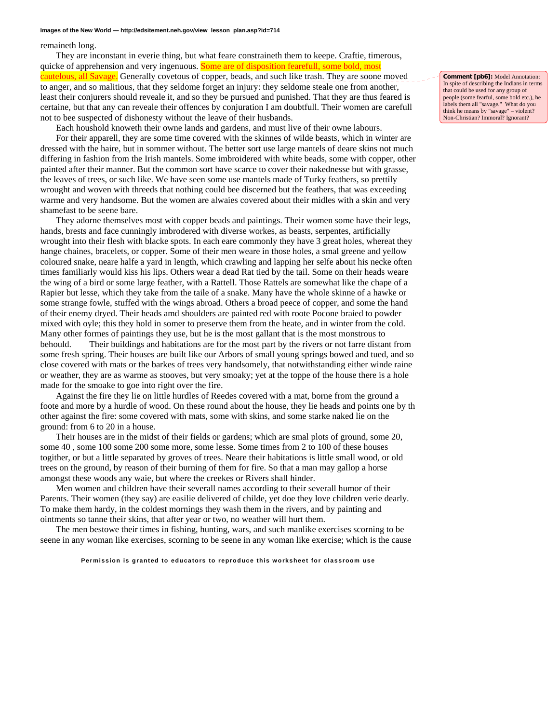#### **Images of the New World — http://edsitement.neh.gov/view\_lesson\_plan.asp?id=714**

remaineth long.

 They are inconstant in everie thing, but what feare constraineth them to keepe. Craftie, timerous, quicke of apprehension and very ingenuous. Some are of disposition fearefull, some bold, most cautelous, all Savage. Generally covetous of copper, beads, and such like trash. They are soone moved to anger, and so malitious, that they seldome forget an injury: they seldome steale one from another, least their conjurers should reveale it, and so they be pursued and punished. That they are thus feared is certaine, but that any can reveale their offences by conjuration I am doubtfull. Their women are carefull not to bee suspected of dishonesty without the leave of their husbands.

 Each houshold knoweth their owne lands and gardens, and must live of their owne labours. For their apparell, they are some time covered with the skinnes of wilde beasts, which in winter are dressed with the haire, but in sommer without. The better sort use large mantels of deare skins not much differing in fashion from the Irish mantels. Some imbroidered with white beads, some with copper, other painted after their manner. But the common sort have scarce to cover their nakednesse but with grasse, the leaves of trees, or such like. We have seen some use mantels made of Turky feathers, so prettily wrought and woven with threeds that nothing could bee discerned but the feathers, that was exceeding warme and very handsome. But the women are alwaies covered about their midles with a skin and very shamefast to be seene bare.

 They adorne themselves most with copper beads and paintings. Their women some have their legs, hands, brests and face cunningly imbrodered with diverse workes, as beasts, serpentes, artificially wrought into their flesh with blacke spots. In each eare commonly they have 3 great holes, whereat they hange chaines, bracelets, or copper. Some of their men weare in those holes, a smal greene and yellow coloured snake, neare halfe a yard in length, which crawling and lapping her selfe about his necke often times familiarly would kiss his lips. Others wear a dead Rat tied by the tail. Some on their heads weare the wing of a bird or some large feather, with a Rattell. Those Rattels are somewhat like the chape of a Rapier but lesse, which they take from the taile of a snake. Many have the whole skinne of a hawke or some strange fowle, stuffed with the wings abroad. Others a broad peece of copper, and some the hand of their enemy dryed. Their heads amd shoulders are painted red with roote Pocone braied to powder mixed with oyle; this they hold in somer to preserve them from the heate, and in winter from the cold. Many other formes of paintings they use, but he is the most gallant that is the most monstrous to behould. Their buildings and habitations are for the most part by the rivers or not farre distant from some fresh spring. Their houses are built like our Arbors of small young springs bowed and tued, and so close covered with mats or the barkes of trees very handsomely, that notwithstanding either winde raine or weather, they are as warme as stooves, but very smoaky; yet at the toppe of the house there is a hole made for the smoake to goe into right over the fire.

 Against the fire they lie on little hurdles of Reedes covered with a mat, borne from the ground a foote and more by a hurdle of wood. On these round about the house, they lie heads and points one by th other against the fire: some covered with mats, some with skins, and some starke naked lie on the ground: from 6 to 20 in a house.

 Their houses are in the midst of their fields or gardens; which are smal plots of ground, some 20, some 40 , some 100 some 200 some more, some lesse. Some times from 2 to 100 of these houses togither, or but a little separated by groves of trees. Neare their habitations is little small wood, or old trees on the ground, by reason of their burning of them for fire. So that a man may gallop a horse amongst these woods any waie, but where the creekes or Rivers shall hinder.

 Men women and children have their severall names according to their severall humor of their Parents. Their women (they say) are easilie delivered of childe, yet doe they love children verie dearly. To make them hardy, in the coldest mornings they wash them in the rivers, and by painting and ointments so tanne their skins, that after year or two, no weather will hurt them.

 The men bestowe their times in fishing, hunting, wars, and such manlike exercises scorning to be seene in any woman like exercises, scorning to be seene in any woman like exercise; which is the cause

**Permission is granted to educators to reproduce this worksheet for classroom use**

**Comment [pb6]:** Model Annotation: In spite of describing the Indians in terms that could be used for any group of people (some fearful, some bold etc.), he labels them all "savage." What do you think he means by "savage" – violent? Non-Christian? Immoral? Ignorant?